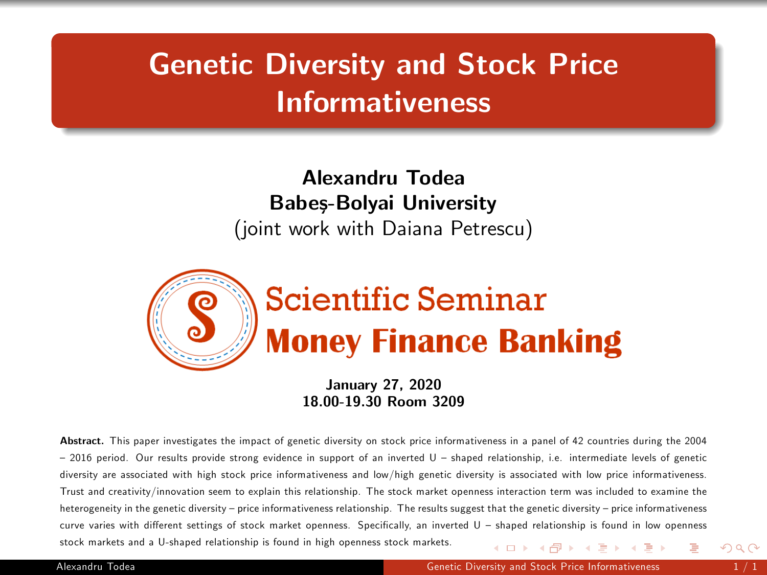## Genetic Diversity and Stock Price Informativeness

## Alexandru Todea Babeș-Bolyai University (joint work with Daiana Petrescu)



<span id="page-0-0"></span>January 27, 2020 18.00-19.30 Room 3209

Abstract. This paper investigates the impact of genetic diversity on stock price informativeness in a panel of 42 countries during the 2004  $=$  2016 period. Our results provide strong evidence in support of an inverted U  $=$  shaped relationship, i.e. intermediate levels of genetic diversity are associated with high stock price informativeness and low/high genetic diversity is associated with low price informativeness. Trust and creativity/innovation seem to explain this relationship. The stock market openness interaction term was included to examine the heterogeneity in the genetic diversity – price informativeness relationship. The results suggest that the genetic diversity – price informativeness curve varies with different settings of stock market openness. Specifically, an inverted U – shaped relationship is found in low openness stock markets and a U-shaped relationship is found in high openness stock markets. メロメ メ御 メメ きょ メ ヨメ